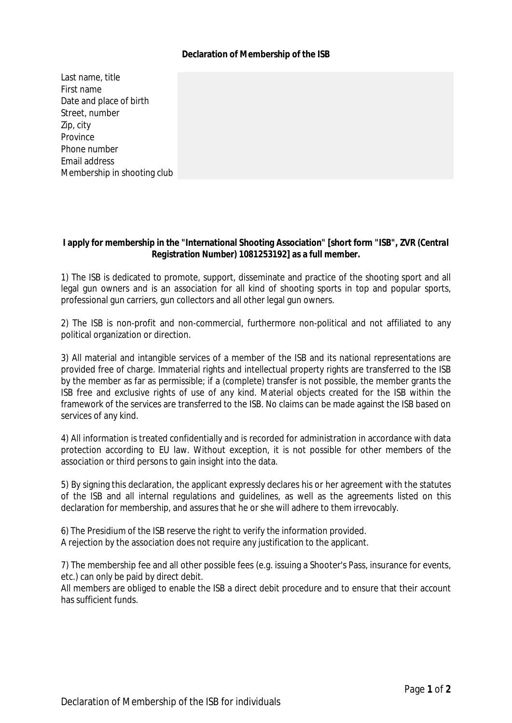## **Declaration of Membership of the ISB**

Last name, title First name Date and place of birth Street, number Zip, city Province Phone number Email address Membership in shooting club

**I apply for membership in the "International Shooting Association" [short form "ISB", ZVR** *(Central Registration Number)* **1081253192] as a full member.**

1) The ISB is dedicated to promote, support, disseminate and practice of the shooting sport and all legal gun owners and is an association for all kind of shooting sports in top and popular sports, professional gun carriers, gun collectors and all other legal gun owners.

2) The ISB is non-profit and non-commercial, furthermore non-political and not affiliated to any political organization or direction.

3) All material and intangible services of a member of the ISB and its national representations are provided free of charge. Immaterial rights and intellectual property rights are transferred to the ISB by the member as far as permissible; if a (complete) transfer is not possible, the member grants the ISB free and exclusive rights of use of any kind. Material objects created for the ISB within the framework of the services are transferred to the ISB. No claims can be made against the ISB based on services of any kind.

4) All information is treated confidentially and is recorded for administration in accordance with data protection according to EU law. Without exception, it is not possible for other members of the association or third persons to gain insight into the data.

5) By signing this declaration, the applicant expressly declares his or her agreement with the statutes of the ISB and all internal regulations and guidelines, as well as the agreements listed on this declaration for membership, and assures that he or she will adhere to them irrevocably.

6) The Presidium of the ISB reserve the right to verify the information provided. A rejection by the association does not require any justification to the applicant.

7) The membership fee and all other possible fees (e.g. issuing a Shooter's Pass, insurance for events, etc.) can only be paid by direct debit.

All members are obliged to enable the ISB a direct debit procedure and to ensure that their account has sufficient funds.